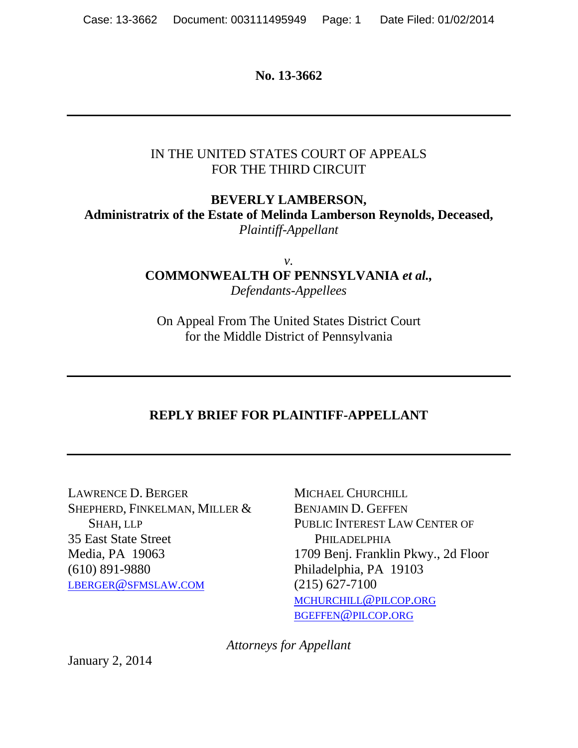**No. 13-3662**

#### IN THE UNITED STATES COURT OF APPEALS FOR THE THIRD CIRCUIT

# **BEVERLY LAMBERSON, Administratrix of the Estate of Melinda Lamberson Reynolds, Deceased,** *Plaintiff-Appellant*

*v.* **COMMONWEALTH OF PENNSYLVANIA** *et al., Defendants-Appellees*

On Appeal From The United States District Court for the Middle District of Pennsylvania

# **REPLY BRIEF FOR PLAINTIFF-APPELLANT**

LAWRENCE D. BERGER SHEPHERD, FINKELMAN, MILLER & SHAH, LLP 35 East State Street Media, PA 19063 (610) 891-9880 [LBERGER@SFMSLAW.COM](mailto:lberger@sfmslaw.com)

MICHAEL CHURCHILL BENJAMIN D. GEFFEN PUBLIC INTEREST LAW CENTER OF **PHILADELPHIA** 1709 Benj. Franklin Pkwy., 2d Floor Philadelphia, PA 19103 (215) 627-7100 [MCHURCHILL@PILCOP.ORG](mailto:mchurchill@pilcop.org) [BGEFFEN@PILCOP.ORG](mailto:bgeffen@pilcop.org)

*Attorneys for Appellant*

January 2, 2014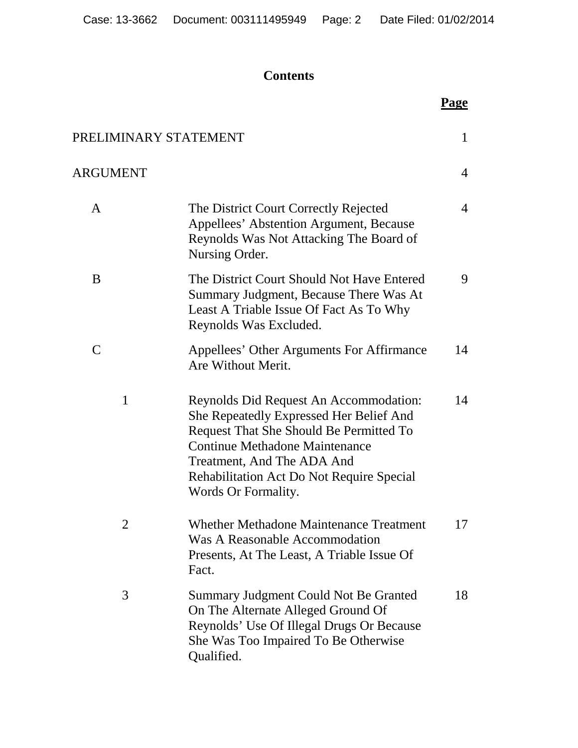# **Contents**

|                       |                                                                                                                                                                                                                                                                         | Page |
|-----------------------|-------------------------------------------------------------------------------------------------------------------------------------------------------------------------------------------------------------------------------------------------------------------------|------|
| PRELIMINARY STATEMENT |                                                                                                                                                                                                                                                                         | 1    |
| <b>ARGUMENT</b>       |                                                                                                                                                                                                                                                                         | 4    |
| A                     | The District Court Correctly Rejected<br>Appellees' Abstention Argument, Because<br>Reynolds Was Not Attacking The Board of<br>Nursing Order.                                                                                                                           | 4    |
| B                     | The District Court Should Not Have Entered<br>Summary Judgment, Because There Was At<br>Least A Triable Issue Of Fact As To Why<br>Reynolds Was Excluded.                                                                                                               | 9    |
| $\mathsf{C}$          | Appellees' Other Arguments For Affirmance<br>Are Without Merit.                                                                                                                                                                                                         | 14   |
| $\mathbf{1}$          | Reynolds Did Request An Accommodation:<br>She Repeatedly Expressed Her Belief And<br>Request That She Should Be Permitted To<br>Continue Methadone Maintenance<br>Treatment, And The ADA And<br><b>Rehabilitation Act Do Not Require Special</b><br>Words Or Formality. | 14   |
| 2                     | <b>Whether Methadone Maintenance Treatment</b><br>Was A Reasonable Accommodation<br>Presents, At The Least, A Triable Issue Of<br>Fact.                                                                                                                                 | 17   |
| 3                     | Summary Judgment Could Not Be Granted<br>On The Alternate Alleged Ground Of<br>Reynolds' Use Of Illegal Drugs Or Because<br>She Was Too Impaired To Be Otherwise<br>Qualified.                                                                                          | 18   |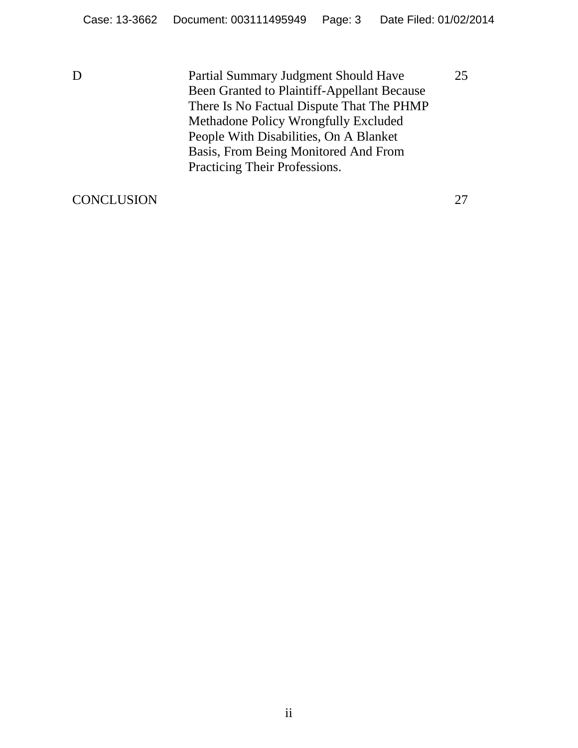D Partial Summary Judgment Should Have Been Granted to Plaintiff-Appellant Because There Is No Factual Dispute That The PHMP Methadone Policy Wrongfully Excluded People With Disabilities, On A Blanket Basis, From Being Monitored And From Practicing Their Professions.

CONCLUSION 27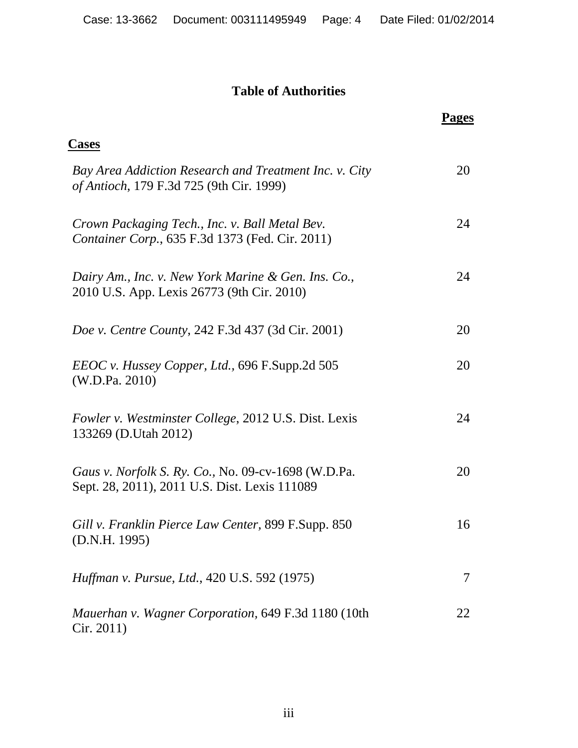# **Table of Authorities**

|                                                                                                      | Pages |
|------------------------------------------------------------------------------------------------------|-------|
| <b>Cases</b>                                                                                         |       |
| Bay Area Addiction Research and Treatment Inc. v. City<br>of Antioch, 179 F.3d 725 (9th Cir. 1999)   | 20    |
| Crown Packaging Tech., Inc. v. Ball Metal Bev.<br>Container Corp., 635 F.3d 1373 (Fed. Cir. 2011)    | 24    |
| Dairy Am., Inc. v. New York Marine & Gen. Ins. Co.,<br>2010 U.S. App. Lexis 26773 (9th Cir. 2010)    | 24    |
| Doe v. Centre County, 242 F.3d 437 (3d Cir. 2001)                                                    | 20    |
| <i>EEOC v. Hussey Copper, Ltd., 696 F.Supp.2d 505</i><br>(W.D.Pa. 2010)                              | 20    |
| Fowler v. Westminster College, 2012 U.S. Dist. Lexis<br>133269 (D.Utah 2012)                         | 24    |
| Gaus v. Norfolk S. Ry. Co., No. 09-cv-1698 (W.D.Pa.<br>Sept. 28, 2011), 2011 U.S. Dist. Lexis 111089 | 20    |
| Gill v. Franklin Pierce Law Center, 899 F.Supp. 850<br>(D.N.H. 1995)                                 | 16    |
| Huffman v. Pursue, Ltd., 420 U.S. 592 (1975)                                                         | 7     |
| Mauerhan v. Wagner Corporation, 649 F.3d 1180 (10th<br>Cir. 2011)                                    | 22    |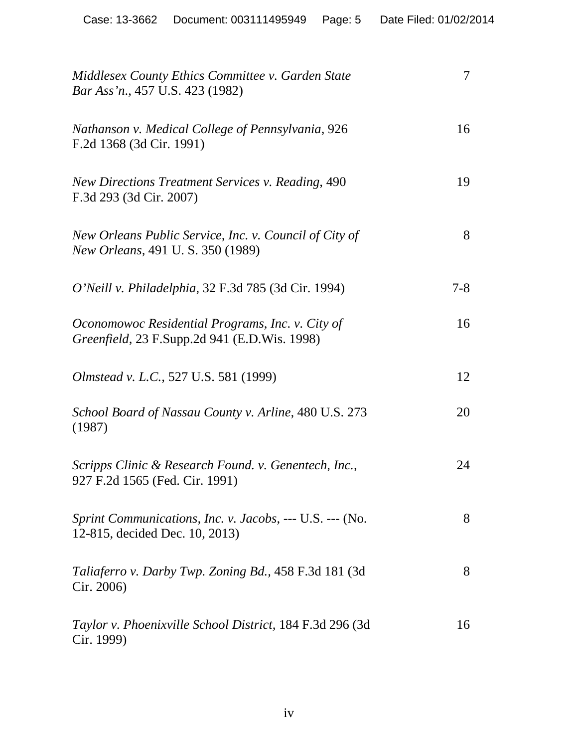| Middlesex County Ethics Committee v. Garden State<br>Bar Ass'n., 457 U.S. 423 (1982)             | 7       |
|--------------------------------------------------------------------------------------------------|---------|
| Nathanson v. Medical College of Pennsylvania, 926<br>F.2d 1368 (3d Cir. 1991)                    | 16      |
| <b>New Directions Treatment Services v. Reading, 490</b><br>F.3d 293 (3d Cir. 2007)              | 19      |
| New Orleans Public Service, Inc. v. Council of City of<br>New Orleans, 491 U.S. 350 (1989)       | 8       |
| O'Neill v. Philadelphia, 32 F.3d 785 (3d Cir. 1994)                                              | $7 - 8$ |
| Oconomowoc Residential Programs, Inc. v. City of<br>Greenfield, 23 F.Supp.2d 941 (E.D.Wis. 1998) | 16      |
| Olmstead v. L.C., 527 U.S. 581 (1999)                                                            | 12      |
| School Board of Nassau County v. Arline, 480 U.S. 273<br>(1987)                                  | 20      |
| Scripps Clinic & Research Found. v. Genentech, Inc.,<br>927 F.2d 1565 (Fed. Cir. 1991)           | 24      |
| Sprint Communications, Inc. v. Jacobs, --- U.S. --- (No.<br>12-815, decided Dec. 10, 2013)       | 8       |
| <i>Taliaferro v. Darby Twp. Zoning Bd.,</i> 458 F.3d 181 (3d)<br>Cir. 2006)                      | 8       |
| Taylor v. Phoenixville School District, 184 F.3d 296 (3d<br>Cir. 1999)                           | 16      |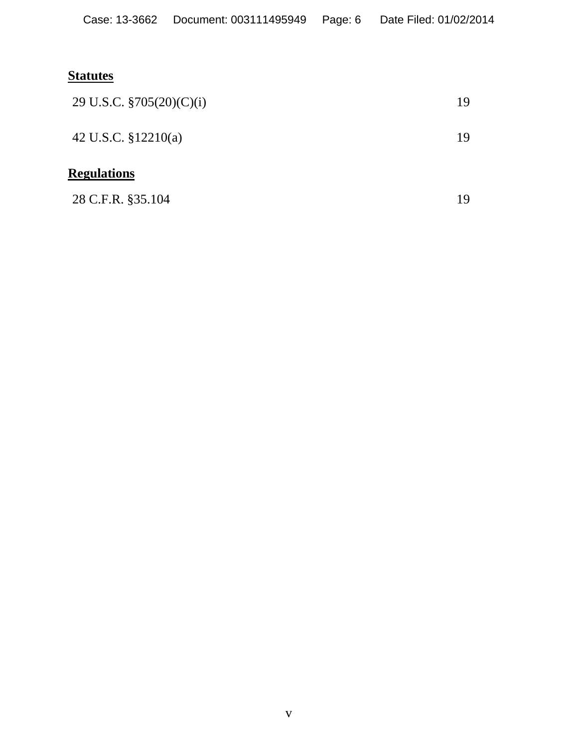# **Statutes**

| 28 C.F.R. §35.104           | 19 |
|-----------------------------|----|
| <b>Regulations</b>          |    |
| 42 U.S.C. $$12210(a)$       | 19 |
| 29 U.S.C. $\S705(20)(C)(i)$ | 19 |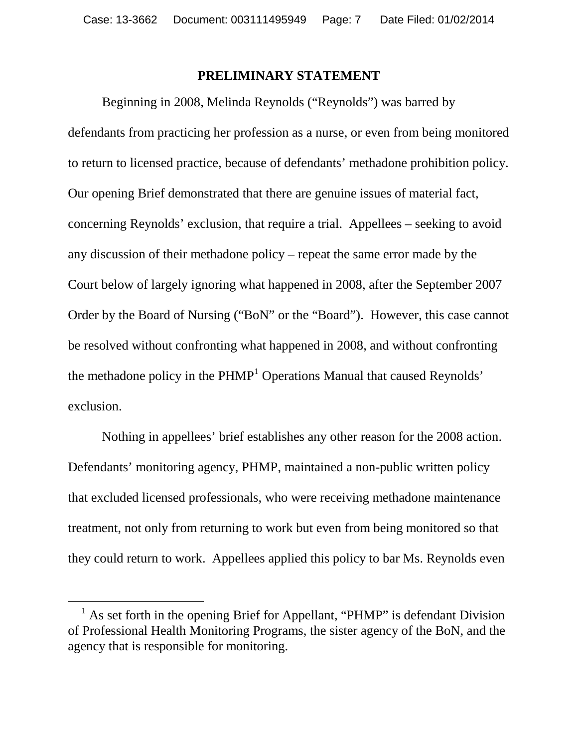#### **PRELIMINARY STATEMENT**

Beginning in 2008, Melinda Reynolds ("Reynolds") was barred by defendants from practicing her profession as a nurse, or even from being monitored to return to licensed practice, because of defendants' methadone prohibition policy. Our opening Brief demonstrated that there are genuine issues of material fact, concerning Reynolds' exclusion, that require a trial. Appellees – seeking to avoid any discussion of their methadone policy – repeat the same error made by the Court below of largely ignoring what happened in 2008, after the September 2007 Order by the Board of Nursing ("BoN" or the "Board"). However, this case cannot be resolved without confronting what happened in 2008, and without confronting the methadone policy in the  $PHMP<sup>1</sup>$  $PHMP<sup>1</sup>$  $PHMP<sup>1</sup>$  Operations Manual that caused Reynolds' exclusion.

Nothing in appellees' brief establishes any other reason for the 2008 action. Defendants' monitoring agency, PHMP, maintained a non-public written policy that excluded licensed professionals, who were receiving methadone maintenance treatment, not only from returning to work but even from being monitored so that they could return to work. Appellees applied this policy to bar Ms. Reynolds even

<span id="page-6-0"></span> $<sup>1</sup>$  As set forth in the opening Brief for Appellant, "PHMP" is defendant Division</sup> of Professional Health Monitoring Programs, the sister agency of the BoN, and the agency that is responsible for monitoring.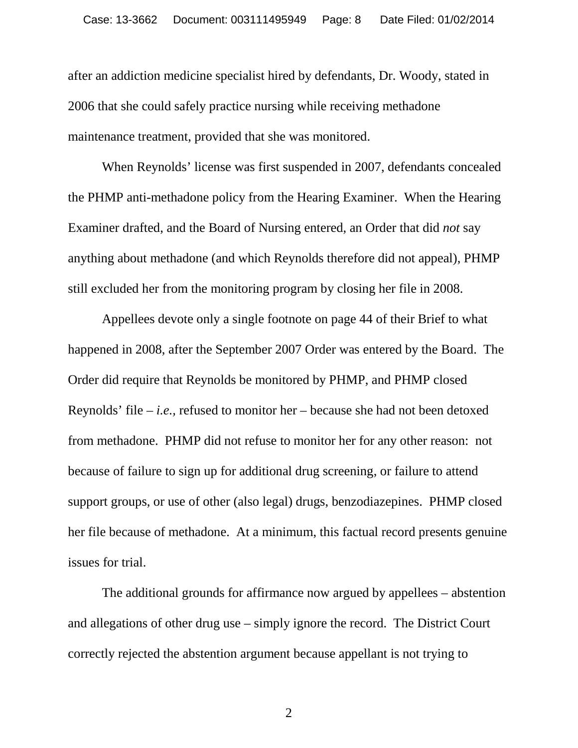after an addiction medicine specialist hired by defendants, Dr. Woody, stated in 2006 that she could safely practice nursing while receiving methadone maintenance treatment, provided that she was monitored.

When Reynolds' license was first suspended in 2007, defendants concealed the PHMP anti-methadone policy from the Hearing Examiner. When the Hearing Examiner drafted, and the Board of Nursing entered, an Order that did *not* say anything about methadone (and which Reynolds therefore did not appeal), PHMP still excluded her from the monitoring program by closing her file in 2008.

Appellees devote only a single footnote on page 44 of their Brief to what happened in 2008, after the September 2007 Order was entered by the Board. The Order did require that Reynolds be monitored by PHMP, and PHMP closed Reynolds' file – *i.e.,* refused to monitor her – because she had not been detoxed from methadone. PHMP did not refuse to monitor her for any other reason: not because of failure to sign up for additional drug screening, or failure to attend support groups, or use of other (also legal) drugs, benzodiazepines. PHMP closed her file because of methadone. At a minimum, this factual record presents genuine issues for trial.

The additional grounds for affirmance now argued by appellees – abstention and allegations of other drug use – simply ignore the record. The District Court correctly rejected the abstention argument because appellant is not trying to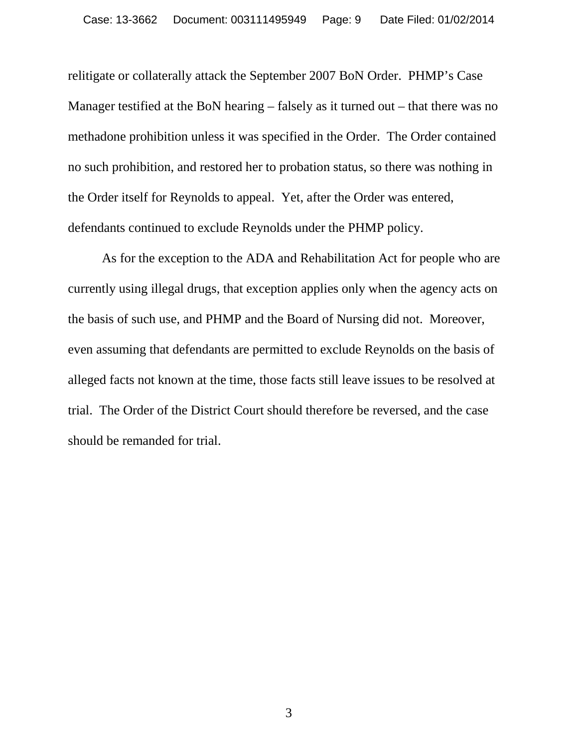relitigate or collaterally attack the September 2007 BoN Order. PHMP's Case Manager testified at the BoN hearing – falsely as it turned out – that there was no methadone prohibition unless it was specified in the Order. The Order contained no such prohibition, and restored her to probation status, so there was nothing in the Order itself for Reynolds to appeal. Yet, after the Order was entered, defendants continued to exclude Reynolds under the PHMP policy.

As for the exception to the ADA and Rehabilitation Act for people who are currently using illegal drugs, that exception applies only when the agency acts on the basis of such use, and PHMP and the Board of Nursing did not. Moreover, even assuming that defendants are permitted to exclude Reynolds on the basis of alleged facts not known at the time, those facts still leave issues to be resolved at trial. The Order of the District Court should therefore be reversed, and the case should be remanded for trial.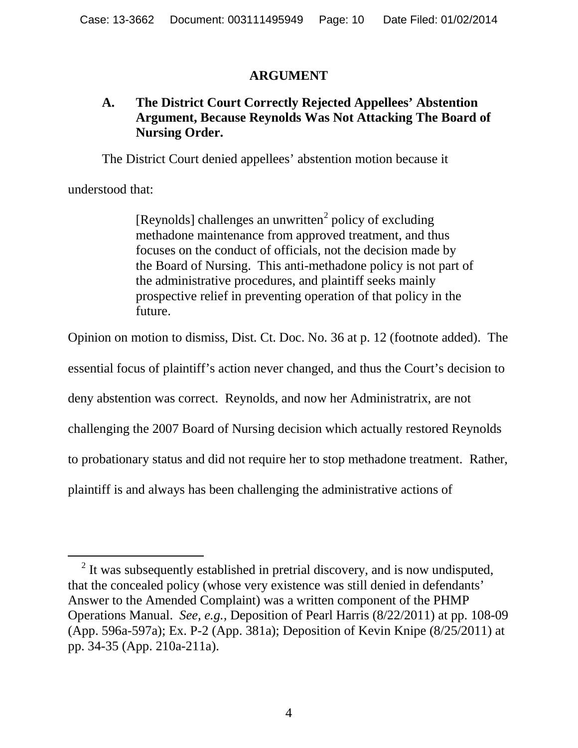#### **ARGUMENT**

#### **A. The District Court Correctly Rejected Appellees' Abstention Argument, Because Reynolds Was Not Attacking The Board of Nursing Order.**

The District Court denied appellees' abstention motion because it

understood that:

[Reynolds] challenges an unwritten $^2$  $^2$  policy of excluding methadone maintenance from approved treatment, and thus focuses on the conduct of officials, not the decision made by the Board of Nursing. This anti-methadone policy is not part of the administrative procedures, and plaintiff seeks mainly prospective relief in preventing operation of that policy in the future.

Opinion on motion to dismiss, Dist. Ct. Doc. No. 36 at p. 12 (footnote added). The

essential focus of plaintiff's action never changed, and thus the Court's decision to

deny abstention was correct. Reynolds, and now her Administratrix, are not

challenging the 2007 Board of Nursing decision which actually restored Reynolds

to probationary status and did not require her to stop methadone treatment. Rather,

plaintiff is and always has been challenging the administrative actions of

<span id="page-9-0"></span> $2$  It was subsequently established in pretrial discovery, and is now undisputed, that the concealed policy (whose very existence was still denied in defendants' Answer to the Amended Complaint) was a written component of the PHMP Operations Manual. *See, e.g.,* Deposition of Pearl Harris (8/22/2011) at pp. 108-09 (App. 596a-597a); Ex. P-2 (App. 381a); Deposition of Kevin Knipe (8/25/2011) at pp. 34-35 (App. 210a-211a).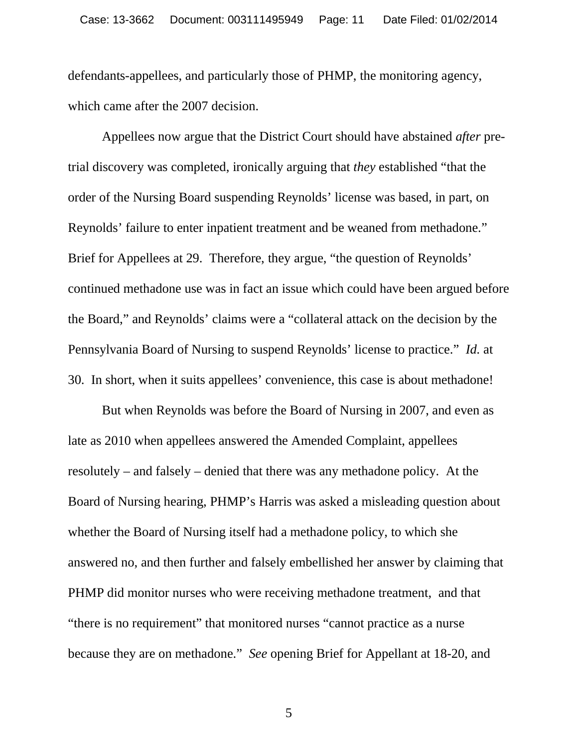defendants-appellees, and particularly those of PHMP, the monitoring agency, which came after the 2007 decision.

Appellees now argue that the District Court should have abstained *after* pretrial discovery was completed, ironically arguing that *they* established "that the order of the Nursing Board suspending Reynolds' license was based, in part, on Reynolds' failure to enter inpatient treatment and be weaned from methadone." Brief for Appellees at 29. Therefore, they argue, "the question of Reynolds' continued methadone use was in fact an issue which could have been argued before the Board," and Reynolds' claims were a "collateral attack on the decision by the Pennsylvania Board of Nursing to suspend Reynolds' license to practice." *Id.* at 30. In short, when it suits appellees' convenience, this case is about methadone!

But when Reynolds was before the Board of Nursing in 2007, and even as late as 2010 when appellees answered the Amended Complaint, appellees resolutely – and falsely – denied that there was any methadone policy. At the Board of Nursing hearing, PHMP's Harris was asked a misleading question about whether the Board of Nursing itself had a methadone policy, to which she answered no, and then further and falsely embellished her answer by claiming that PHMP did monitor nurses who were receiving methadone treatment, and that "there is no requirement" that monitored nurses "cannot practice as a nurse because they are on methadone." *See* opening Brief for Appellant at 18-20, and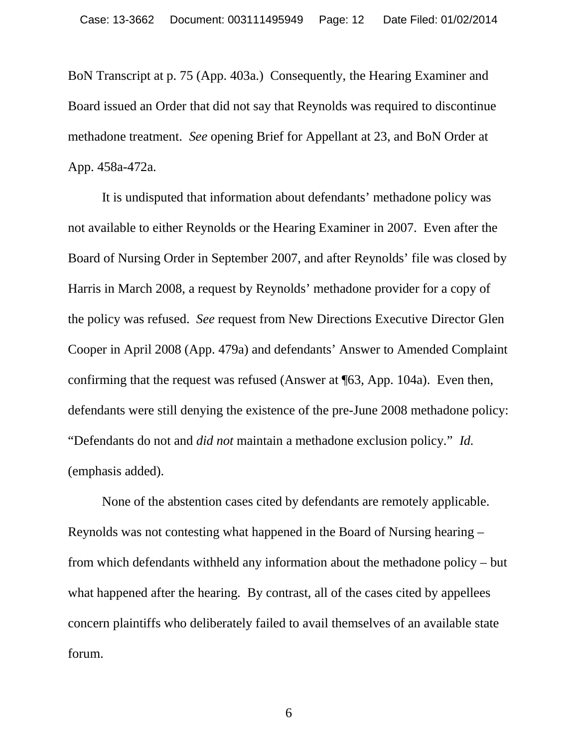BoN Transcript at p. 75 (App. 403a.) Consequently, the Hearing Examiner and Board issued an Order that did not say that Reynolds was required to discontinue methadone treatment. *See* opening Brief for Appellant at 23, and BoN Order at App. 458a-472a.

It is undisputed that information about defendants' methadone policy was not available to either Reynolds or the Hearing Examiner in 2007. Even after the Board of Nursing Order in September 2007, and after Reynolds' file was closed by Harris in March 2008, a request by Reynolds' methadone provider for a copy of the policy was refused. *See* request from New Directions Executive Director Glen Cooper in April 2008 (App. 479a) and defendants' Answer to Amended Complaint confirming that the request was refused (Answer at ¶63, App. 104a). Even then, defendants were still denying the existence of the pre-June 2008 methadone policy: "Defendants do not and *did not* maintain a methadone exclusion policy." *Id.*  (emphasis added).

None of the abstention cases cited by defendants are remotely applicable. Reynolds was not contesting what happened in the Board of Nursing hearing – from which defendants withheld any information about the methadone policy – but what happened after the hearing. By contrast, all of the cases cited by appellees concern plaintiffs who deliberately failed to avail themselves of an available state forum.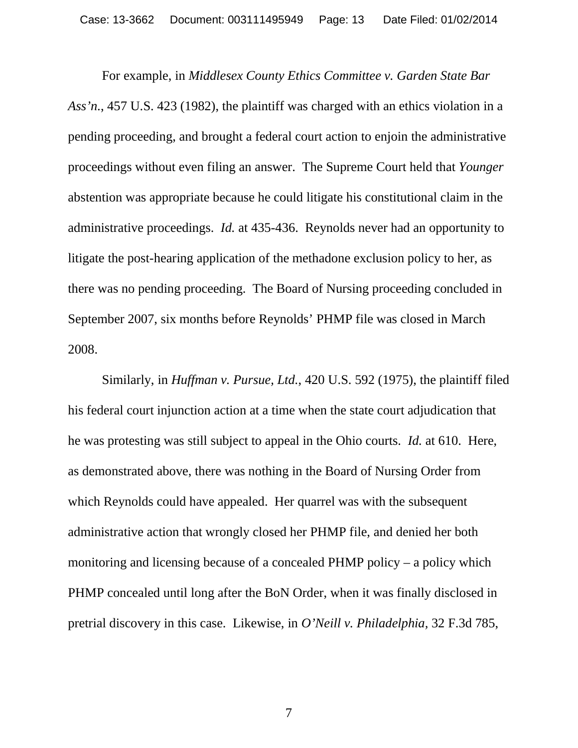For example, in *Middlesex County Ethics Committee v. Garden State Bar Ass'n*., 457 U.S. 423 (1982), the plaintiff was charged with an ethics violation in a pending proceeding, and brought a federal court action to enjoin the administrative proceedings without even filing an answer. The Supreme Court held that *Younger* abstention was appropriate because he could litigate his constitutional claim in the administrative proceedings. *Id.* at 435-436. Reynolds never had an opportunity to litigate the post-hearing application of the methadone exclusion policy to her, as there was no pending proceeding. The Board of Nursing proceeding concluded in September 2007, six months before Reynolds' PHMP file was closed in March 2008.

Similarly, in *Huffman v. Pursue, Ltd.*, 420 U.S. 592 (1975), the plaintiff filed his federal court injunction action at a time when the state court adjudication that he was protesting was still subject to appeal in the Ohio courts. *Id.* at 610. Here, as demonstrated above, there was nothing in the Board of Nursing Order from which Reynolds could have appealed. Her quarrel was with the subsequent administrative action that wrongly closed her PHMP file, and denied her both monitoring and licensing because of a concealed PHMP policy – a policy which PHMP concealed until long after the BoN Order, when it was finally disclosed in pretrial discovery in this case. Likewise, in *O'Neill v. Philadelphia,* 32 F.3d 785,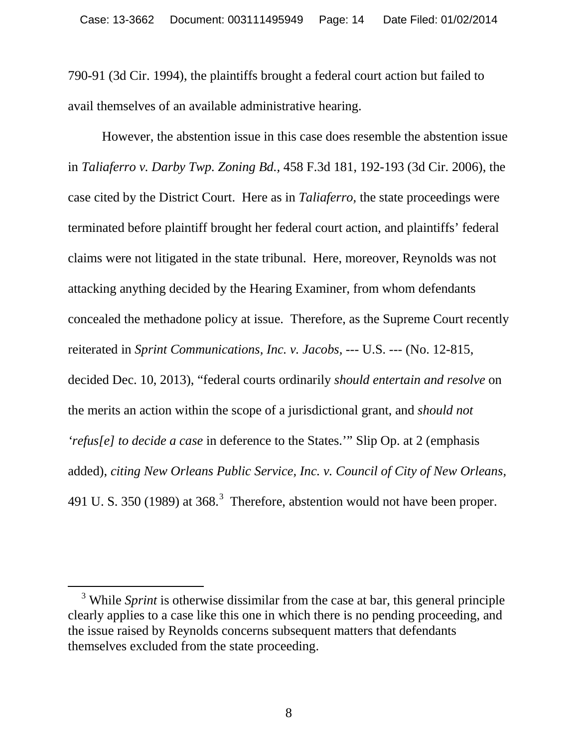790-91 (3d Cir. 1994), the plaintiffs brought a federal court action but failed to avail themselves of an available administrative hearing.

However, the abstention issue in this case does resemble the abstention issue in *Taliaferro v. Darby Twp. Zoning Bd.,* 458 F.3d 181, 192-193 (3d Cir. 2006), the case cited by the District Court. Here as in *Taliaferro,* the state proceedings were terminated before plaintiff brought her federal court action, and plaintiffs' federal claims were not litigated in the state tribunal. Here, moreover, Reynolds was not attacking anything decided by the Hearing Examiner, from whom defendants concealed the methadone policy at issue. Therefore, as the Supreme Court recently reiterated in *Sprint Communications, Inc. v. Jacobs,* --- U.S. --- (No. 12-815, decided Dec. 10, 2013), "federal courts ordinarily *should entertain and resolve* on the merits an action within the scope of a jurisdictional grant, and *should not 'refus[e] to decide a case* in deference to the States.'" Slip Op. at 2 (emphasis added), *citing New Orleans Public Service, Inc. v. Council of City of New Orleans,*  491 U.S. [3](#page-13-0)50 (1989) at 368.<sup>3</sup> Therefore, abstention would not have been proper.

<span id="page-13-0"></span><sup>&</sup>lt;sup>3</sup> While *Sprint* is otherwise dissimilar from the case at bar, this general principle clearly applies to a case like this one in which there is no pending proceeding, and the issue raised by Reynolds concerns subsequent matters that defendants themselves excluded from the state proceeding.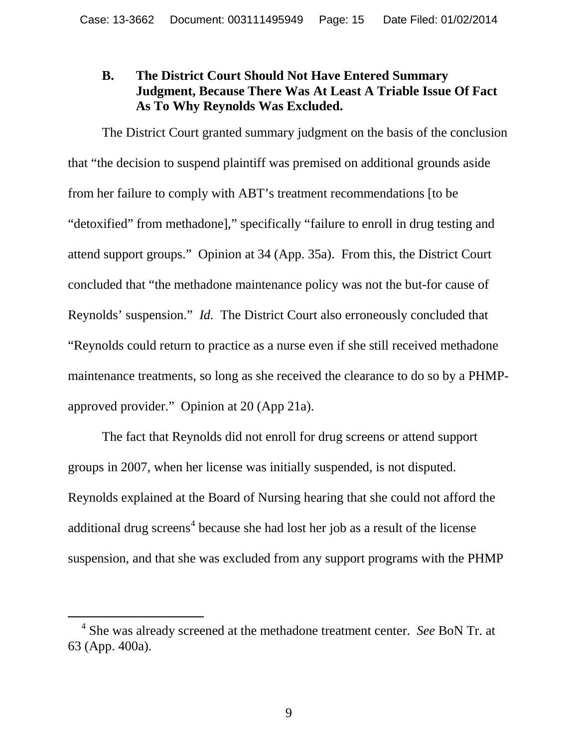### **B. The District Court Should Not Have Entered Summary Judgment, Because There Was At Least A Triable Issue Of Fact As To Why Reynolds Was Excluded.**

The District Court granted summary judgment on the basis of the conclusion that "the decision to suspend plaintiff was premised on additional grounds aside from her failure to comply with ABT's treatment recommendations [to be "detoxified" from methadone]," specifically "failure to enroll in drug testing and attend support groups." Opinion at 34 (App. 35a). From this, the District Court concluded that "the methadone maintenance policy was not the but-for cause of Reynolds' suspension." *Id.* The District Court also erroneously concluded that "Reynolds could return to practice as a nurse even if she still received methadone maintenance treatments, so long as she received the clearance to do so by a PHMPapproved provider." Opinion at 20 (App 21a).

The fact that Reynolds did not enroll for drug screens or attend support groups in 2007, when her license was initially suspended, is not disputed. Reynolds explained at the Board of Nursing hearing that she could not afford the additional drug screens<sup>[4](#page-14-0)</sup> because she had lost her job as a result of the license suspension, and that she was excluded from any support programs with the PHMP

<span id="page-14-0"></span> <sup>4</sup> She was already screened at the methadone treatment center. *See* BoN Tr. at 63 (App. 400a).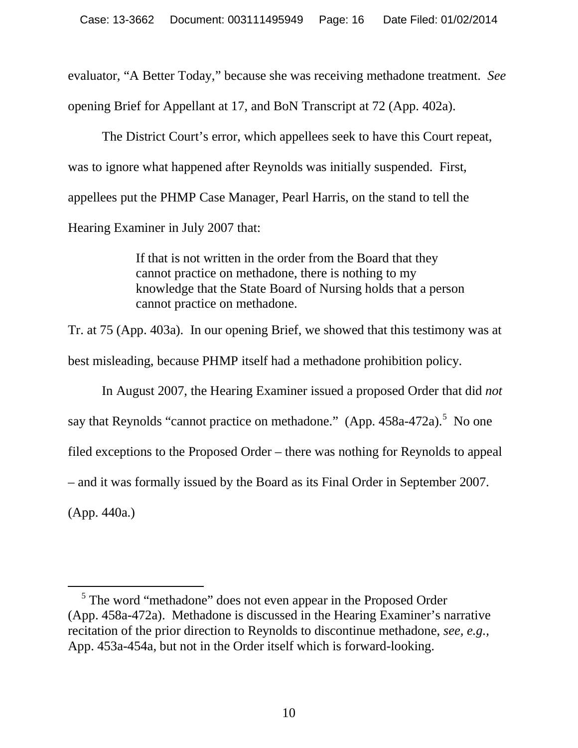evaluator, "A Better Today," because she was receiving methadone treatment. *See*  opening Brief for Appellant at 17, and BoN Transcript at 72 (App. 402a).

The District Court's error, which appellees seek to have this Court repeat, was to ignore what happened after Reynolds was initially suspended. First, appellees put the PHMP Case Manager, Pearl Harris, on the stand to tell the Hearing Examiner in July 2007 that:

> If that is not written in the order from the Board that they cannot practice on methadone, there is nothing to my knowledge that the State Board of Nursing holds that a person cannot practice on methadone.

Tr. at 75 (App. 403a). In our opening Brief, we showed that this testimony was at best misleading, because PHMP itself had a methadone prohibition policy.

In August 2007, the Hearing Examiner issued a proposed Order that did *not* say that Reynolds "cannot practice on methadone."  $(App. 458a-472a)$  $(App. 458a-472a)$  $(App. 458a-472a)$ . No one filed exceptions to the Proposed Order – there was nothing for Reynolds to appeal – and it was formally issued by the Board as its Final Order in September 2007. (App. 440a.)

<span id="page-15-0"></span> <sup>5</sup> The word "methadone" does not even appear in the Proposed Order (App. 458a-472a). Methadone is discussed in the Hearing Examiner's narrative recitation of the prior direction to Reynolds to discontinue methadone, *see, e.g.,*  App. 453a-454a, but not in the Order itself which is forward-looking.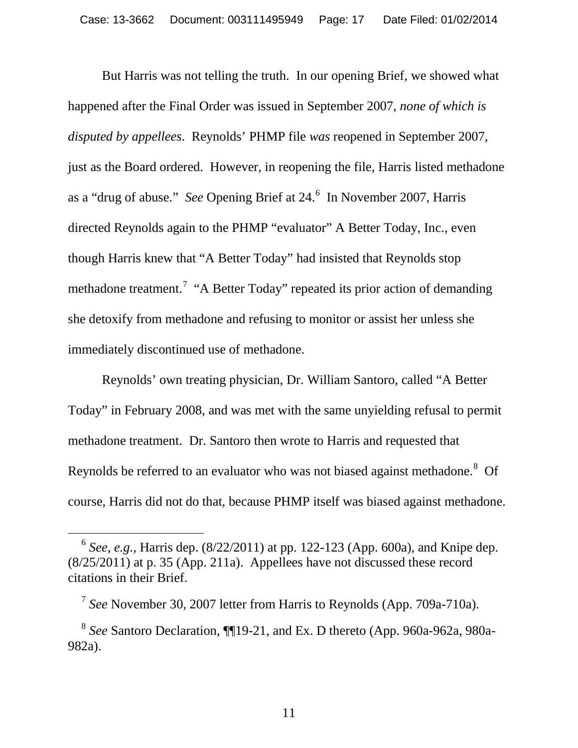But Harris was not telling the truth. In our opening Brief, we showed what happened after the Final Order was issued in September 2007, *none of which is disputed by appellees*. Reynolds' PHMP file *was* reopened in September 2007, just as the Board ordered. However, in reopening the file, Harris listed methadone as a "drug of abuse." *See* Opening Brief at 24.<sup>[6](#page-16-0)</sup> In November 2007, Harris directed Reynolds again to the PHMP "evaluator" A Better Today, Inc., even though Harris knew that "A Better Today" had insisted that Reynolds stop methadone treatment.<sup>[7](#page-16-1)</sup> "A Better Today" repeated its prior action of demanding she detoxify from methadone and refusing to monitor or assist her unless she immediately discontinued use of methadone.

Reynolds' own treating physician, Dr. William Santoro, called "A Better Today" in February 2008, and was met with the same unyielding refusal to permit methadone treatment. Dr. Santoro then wrote to Harris and requested that Reynolds be referred to an evaluator who was not biased against methadone.<sup>[8](#page-16-2)</sup> Of course, Harris did not do that, because PHMP itself was biased against methadone.

<span id="page-16-0"></span> <sup>6</sup> *See, e.g.,* Harris dep. (8/22/2011) at pp. 122-123 (App. 600a), and Knipe dep. (8/25/2011) at p. 35 (App. 211a). Appellees have not discussed these record citations in their Brief.

<sup>7</sup> *See* November 30, 2007 letter from Harris to Reynolds (App. 709a-710a).

<span id="page-16-2"></span><span id="page-16-1"></span><sup>8</sup> *See* Santoro Declaration, ¶¶19-21, and Ex. D thereto (App. 960a-962a, 980a-982a).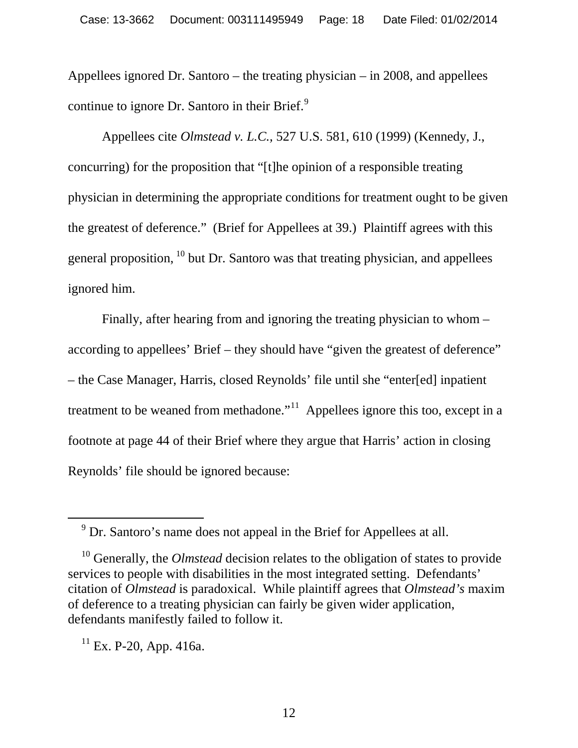Appellees ignored Dr. Santoro – the treating physician – in 2008, and appellees continue to ignore Dr. Santoro in their Brief.<sup>[9](#page-17-0)</sup>

Appellees cite *Olmstead v. L.C.,* 527 U.S. 581, 610 (1999) (Kennedy, J., concurring) for the proposition that "[t]he opinion of a responsible treating physician in determining the appropriate conditions for treatment ought to be given the greatest of deference." (Brief for Appellees at 39.) Plaintiff agrees with this general proposition, [10](#page-17-1) but Dr. Santoro was that treating physician, and appellees ignored him.

Finally, after hearing from and ignoring the treating physician to whom – according to appellees' Brief – they should have "given the greatest of deference" – the Case Manager, Harris, closed Reynolds' file until she "enter[ed] inpatient treatment to be weaned from methadone."<sup>[11](#page-17-2)</sup> Appellees ignore this too, except in a footnote at page 44 of their Brief where they argue that Harris' action in closing Reynolds' file should be ignored because:

 <sup>9</sup> Dr. Santoro's name does not appeal in the Brief for Appellees at all.

<span id="page-17-1"></span><span id="page-17-0"></span><sup>&</sup>lt;sup>10</sup> Generally, the *Olmstead* decision relates to the obligation of states to provide services to people with disabilities in the most integrated setting. Defendants' citation of *Olmstead* is paradoxical. While plaintiff agrees that *Olmstead's* maxim of deference to a treating physician can fairly be given wider application, defendants manifestly failed to follow it.

<span id="page-17-2"></span> $11$  Ex. P-20, App. 416a.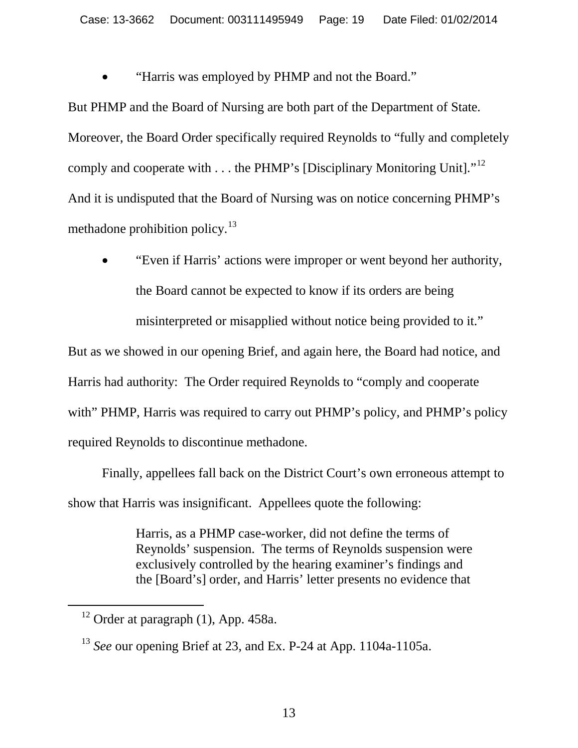"Harris was employed by PHMP and not the Board."

But PHMP and the Board of Nursing are both part of the Department of State. Moreover, the Board Order specifically required Reynolds to "fully and completely comply and cooperate with . . . the PHMP's [Disciplinary Monitoring Unit]."<sup>[12](#page-18-0)</sup> And it is undisputed that the Board of Nursing was on notice concerning PHMP's methadone prohibition policy. $^{13}$  $^{13}$  $^{13}$ 

• "Even if Harris' actions were improper or went beyond her authority, the Board cannot be expected to know if its orders are being

misinterpreted or misapplied without notice being provided to it."

But as we showed in our opening Brief, and again here, the Board had notice, and Harris had authority: The Order required Reynolds to "comply and cooperate with" PHMP, Harris was required to carry out PHMP's policy, and PHMP's policy required Reynolds to discontinue methadone.

Finally, appellees fall back on the District Court's own erroneous attempt to show that Harris was insignificant. Appellees quote the following:

> Harris, as a PHMP case-worker, did not define the terms of Reynolds' suspension. The terms of Reynolds suspension were exclusively controlled by the hearing examiner's findings and the [Board's] order, and Harris' letter presents no evidence that

<span id="page-18-0"></span> $12$  Order at paragraph (1), App. 458a.

<span id="page-18-1"></span><sup>13</sup> *See* our opening Brief at 23, and Ex. P-24 at App. 1104a-1105a.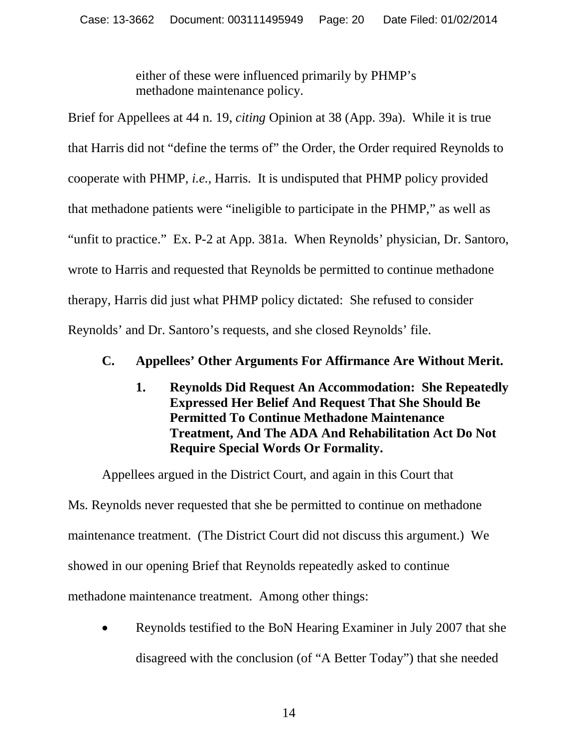either of these were influenced primarily by PHMP's methadone maintenance policy.

Brief for Appellees at 44 n. 19, *citing* Opinion at 38 (App. 39a). While it is true that Harris did not "define the terms of" the Order, the Order required Reynolds to cooperate with PHMP, *i.e.,* Harris. It is undisputed that PHMP policy provided that methadone patients were "ineligible to participate in the PHMP," as well as "unfit to practice." Ex. P-2 at App. 381a. When Reynolds' physician, Dr. Santoro, wrote to Harris and requested that Reynolds be permitted to continue methadone therapy, Harris did just what PHMP policy dictated: She refused to consider Reynolds' and Dr. Santoro's requests, and she closed Reynolds' file.

# **C. Appellees' Other Arguments For Affirmance Are Without Merit.**

**1. Reynolds Did Request An Accommodation: She Repeatedly Expressed Her Belief And Request That She Should Be Permitted To Continue Methadone Maintenance Treatment, And The ADA And Rehabilitation Act Do Not Require Special Words Or Formality.**

Appellees argued in the District Court, and again in this Court that Ms. Reynolds never requested that she be permitted to continue on methadone maintenance treatment. (The District Court did not discuss this argument.) We showed in our opening Brief that Reynolds repeatedly asked to continue methadone maintenance treatment. Among other things:

• Reynolds testified to the BoN Hearing Examiner in July 2007 that she disagreed with the conclusion (of "A Better Today") that she needed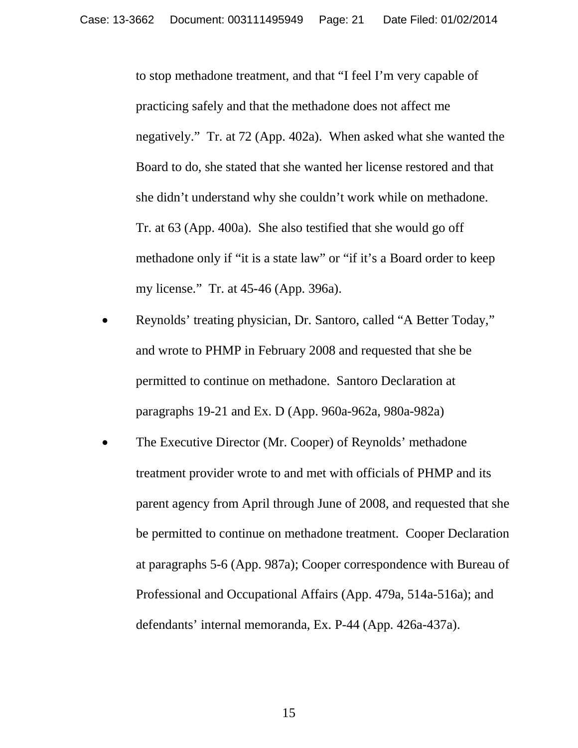to stop methadone treatment, and that "I feel I'm very capable of practicing safely and that the methadone does not affect me negatively." Tr. at 72 (App. 402a). When asked what she wanted the Board to do, she stated that she wanted her license restored and that she didn't understand why she couldn't work while on methadone. Tr. at 63 (App. 400a). She also testified that she would go off methadone only if "it is a state law" or "if it's a Board order to keep my license." Tr. at 45-46 (App. 396a).

- Reynolds' treating physician, Dr. Santoro, called "A Better Today," and wrote to PHMP in February 2008 and requested that she be permitted to continue on methadone. Santoro Declaration at paragraphs 19-21 and Ex. D (App. 960a-962a, 980a-982a)
- The Executive Director (Mr. Cooper) of Reynolds' methadone treatment provider wrote to and met with officials of PHMP and its parent agency from April through June of 2008, and requested that she be permitted to continue on methadone treatment. Cooper Declaration at paragraphs 5-6 (App. 987a); Cooper correspondence with Bureau of Professional and Occupational Affairs (App. 479a, 514a-516a); and defendants' internal memoranda, Ex. P-44 (App. 426a-437a).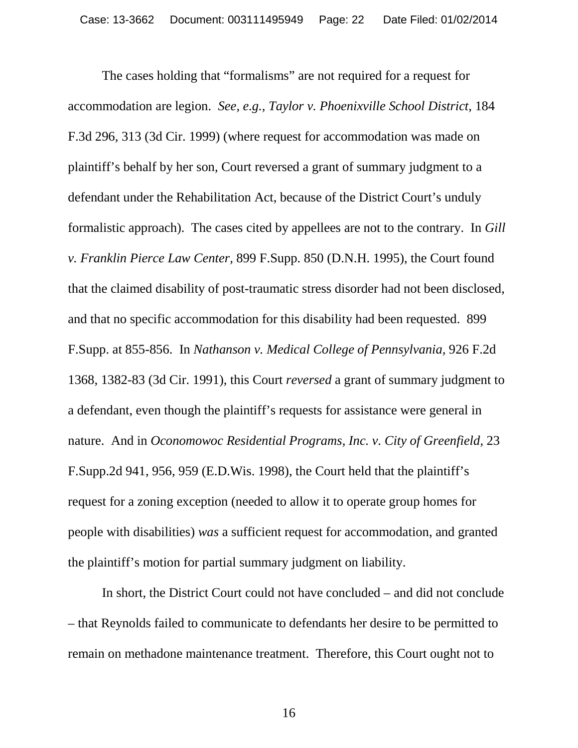The cases holding that "formalisms" are not required for a request for accommodation are legion. *See, e.g., Taylor v. Phoenixville School District,* 184 F.3d 296, 313 (3d Cir. 1999) (where request for accommodation was made on plaintiff's behalf by her son, Court reversed a grant of summary judgment to a defendant under the Rehabilitation Act, because of the District Court's unduly formalistic approach). The cases cited by appellees are not to the contrary. In *Gill v. Franklin Pierce Law Center,* 899 F.Supp. 850 (D.N.H. 1995), the Court found that the claimed disability of post-traumatic stress disorder had not been disclosed, and that no specific accommodation for this disability had been requested. 899 F.Supp. at 855-856. In *Nathanson v. Medical College of Pennsylvania,* 926 F.2d 1368, 1382-83 (3d Cir. 1991), this Court *reversed* a grant of summary judgment to a defendant, even though the plaintiff's requests for assistance were general in nature. And in *Oconomowoc Residential Programs, Inc. v. City of Greenfield,* 23 F.Supp.2d 941, 956, 959 (E.D.Wis. 1998), the Court held that the plaintiff's request for a zoning exception (needed to allow it to operate group homes for people with disabilities) *was* a sufficient request for accommodation, and granted the plaintiff's motion for partial summary judgment on liability.

In short, the District Court could not have concluded – and did not conclude – that Reynolds failed to communicate to defendants her desire to be permitted to remain on methadone maintenance treatment. Therefore, this Court ought not to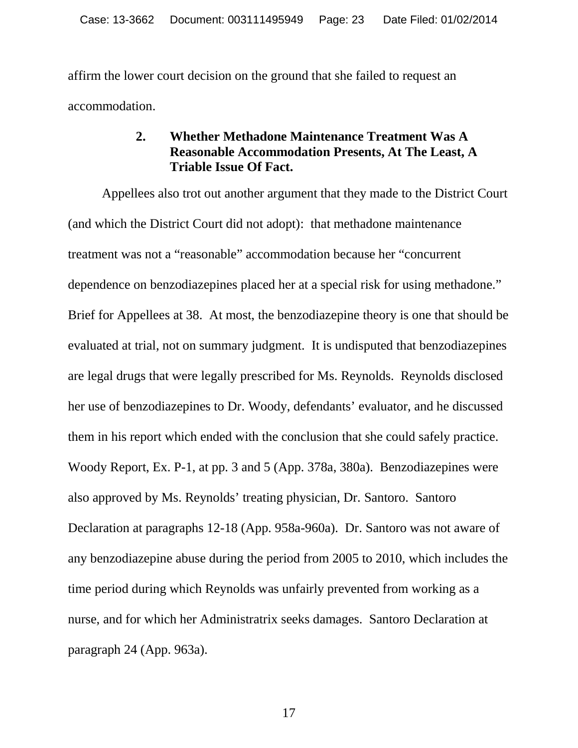affirm the lower court decision on the ground that she failed to request an accommodation.

### **2. Whether Methadone Maintenance Treatment Was A Reasonable Accommodation Presents, At The Least, A Triable Issue Of Fact.**

Appellees also trot out another argument that they made to the District Court (and which the District Court did not adopt): that methadone maintenance treatment was not a "reasonable" accommodation because her "concurrent dependence on benzodiazepines placed her at a special risk for using methadone." Brief for Appellees at 38. At most, the benzodiazepine theory is one that should be evaluated at trial, not on summary judgment. It is undisputed that benzodiazepines are legal drugs that were legally prescribed for Ms. Reynolds. Reynolds disclosed her use of benzodiazepines to Dr. Woody, defendants' evaluator, and he discussed them in his report which ended with the conclusion that she could safely practice. Woody Report, Ex. P-1, at pp. 3 and 5 (App. 378a, 380a). Benzodiazepines were also approved by Ms. Reynolds' treating physician, Dr. Santoro. Santoro Declaration at paragraphs 12-18 (App. 958a-960a). Dr. Santoro was not aware of any benzodiazepine abuse during the period from 2005 to 2010, which includes the time period during which Reynolds was unfairly prevented from working as a nurse, and for which her Administratrix seeks damages. Santoro Declaration at paragraph 24 (App. 963a).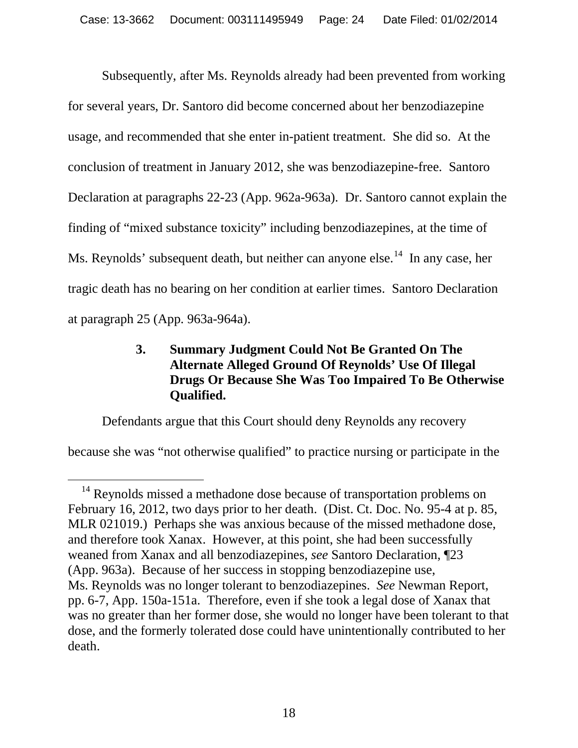Subsequently, after Ms. Reynolds already had been prevented from working for several years, Dr. Santoro did become concerned about her benzodiazepine usage, and recommended that she enter in-patient treatment. She did so. At the conclusion of treatment in January 2012, she was benzodiazepine-free. Santoro Declaration at paragraphs 22-23 (App. 962a-963a). Dr. Santoro cannot explain the finding of "mixed substance toxicity" including benzodiazepines, at the time of Ms. Reynolds' subsequent death, but neither can anyone else.<sup>14</sup> In any case, her tragic death has no bearing on her condition at earlier times. Santoro Declaration at paragraph 25 (App. 963a-964a).

## **3. Summary Judgment Could Not Be Granted On The Alternate Alleged Ground Of Reynolds' Use Of Illegal Drugs Or Because She Was Too Impaired To Be Otherwise Qualified.**

Defendants argue that this Court should deny Reynolds any recovery

because she was "not otherwise qualified" to practice nursing or participate in the

<span id="page-23-0"></span><sup>&</sup>lt;sup>14</sup> Reynolds missed a methadone dose because of transportation problems on February 16, 2012, two days prior to her death. (Dist. Ct. Doc. No. 95-4 at p. 85, MLR 021019.) Perhaps she was anxious because of the missed methadone dose, and therefore took Xanax. However, at this point, she had been successfully weaned from Xanax and all benzodiazepines, *see* Santoro Declaration, ¶23 (App. 963a). Because of her success in stopping benzodiazepine use, Ms. Reynolds was no longer tolerant to benzodiazepines. *See* Newman Report, pp. 6-7, App. 150a-151a. Therefore, even if she took a legal dose of Xanax that was no greater than her former dose, she would no longer have been tolerant to that dose, and the formerly tolerated dose could have unintentionally contributed to her death.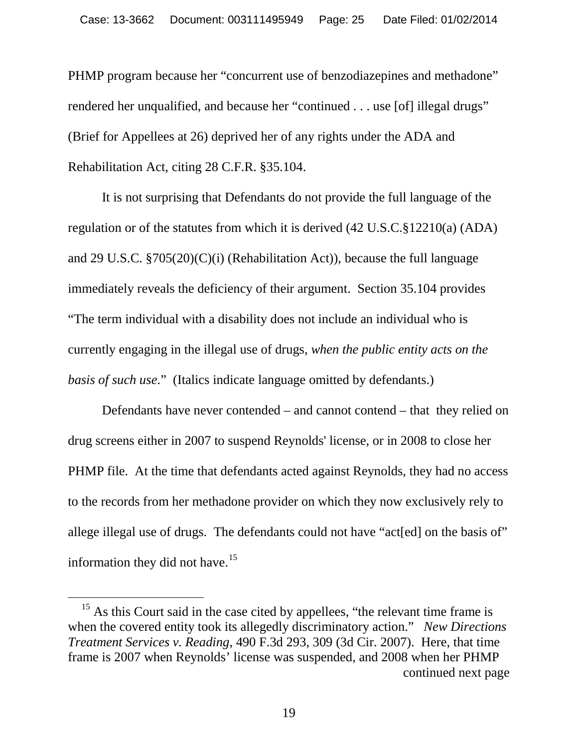PHMP program because her "concurrent use of benzodiazepines and methadone" rendered her unqualified, and because her "continued . . . use [of] illegal drugs" (Brief for Appellees at 26) deprived her of any rights under the ADA and Rehabilitation Act, citing 28 C.F.R. §35.104.

It is not surprising that Defendants do not provide the full language of the regulation or of the statutes from which it is derived (42 U.S.C.§12210(a) (ADA) and 29 U.S.C. §705(20)(C)(i) (Rehabilitation Act)), because the full language immediately reveals the deficiency of their argument. Section 35.104 provides "The term individual with a disability does not include an individual who is currently engaging in the illegal use of drugs, *when the public entity acts on the basis of such use*." (Italics indicate language omitted by defendants.)

Defendants have never contended – and cannot contend – that they relied on drug screens either in 2007 to suspend Reynolds' license, or in 2008 to close her PHMP file. At the time that defendants acted against Reynolds, they had no access to the records from her methadone provider on which they now exclusively rely to allege illegal use of drugs. The defendants could not have "acterial" on the basis of" information they did not have.<sup>[15](#page-24-0)</sup>

<span id="page-24-0"></span><sup>&</sup>lt;sup>15</sup> As this Court said in the case cited by appellees, "the relevant time frame is when the covered entity took its allegedly discriminatory action." *New Directions Treatment Services v. Reading*, 490 F.3d 293, 309 (3d Cir. 2007). Here, that time frame is 2007 when Reynolds' license was suspended, and 2008 when her PHMP continued next page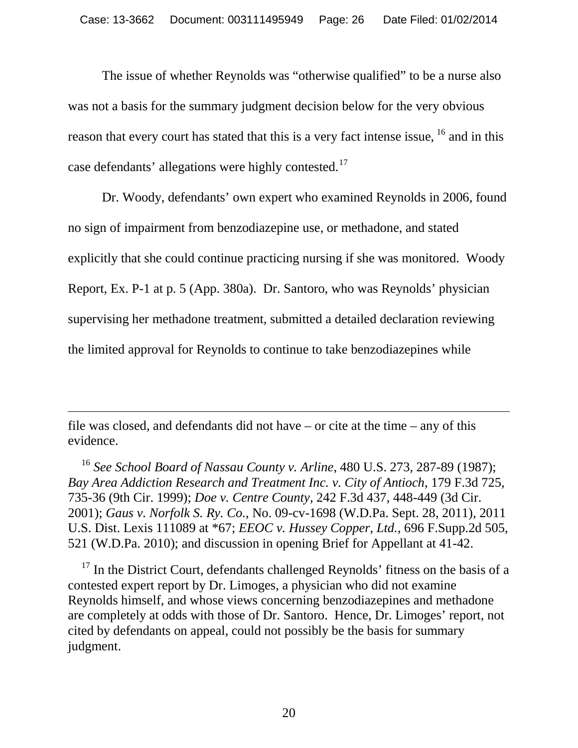The issue of whether Reynolds was "otherwise qualified" to be a nurse also was not a basis for the summary judgment decision below for the very obvious reason that every court has stated that this is a very fact intense issue, <sup>[16](#page-25-0)</sup> and in this case defendants' allegations were highly contested.[17](#page-25-1)

Dr. Woody, defendants' own expert who examined Reynolds in 2006, found no sign of impairment from benzodiazepine use, or methadone, and stated explicitly that she could continue practicing nursing if she was monitored. Woody Report, Ex. P-1 at p. 5 (App. 380a). Dr. Santoro, who was Reynolds' physician supervising her methadone treatment, submitted a detailed declaration reviewing the limited approval for Reynolds to continue to take benzodiazepines while

file was closed, and defendants did not have – or cite at the time – any of this evidence.

 $\overline{a}$ 

<span id="page-25-0"></span><sup>16</sup> *See School Board of Nassau County v. Arline,* 480 U.S. 273, 287-89 (1987); *Bay Area Addiction Research and Treatment Inc. v. City of Antioch*, 179 F.3d 725, 735-36 (9th Cir. 1999); *Doe v. Centre County*, 242 F.3d 437, 448-449 (3d Cir. 2001); *Gaus v. Norfolk S. Ry. Co.,* No. 09-cv-1698 (W.D.Pa. Sept. 28, 2011), 2011 U.S. Dist. Lexis 111089 at \*67; *EEOC v. Hussey Copper, Ltd.,* 696 F.Supp.2d 505, 521 (W.D.Pa. 2010); and discussion in opening Brief for Appellant at 41-42.

<span id="page-25-1"></span><sup>17</sup> In the District Court, defendants challenged Reynolds' fitness on the basis of a contested expert report by Dr. Limoges, a physician who did not examine Reynolds himself, and whose views concerning benzodiazepines and methadone are completely at odds with those of Dr. Santoro. Hence, Dr. Limoges' report, not cited by defendants on appeal, could not possibly be the basis for summary judgment.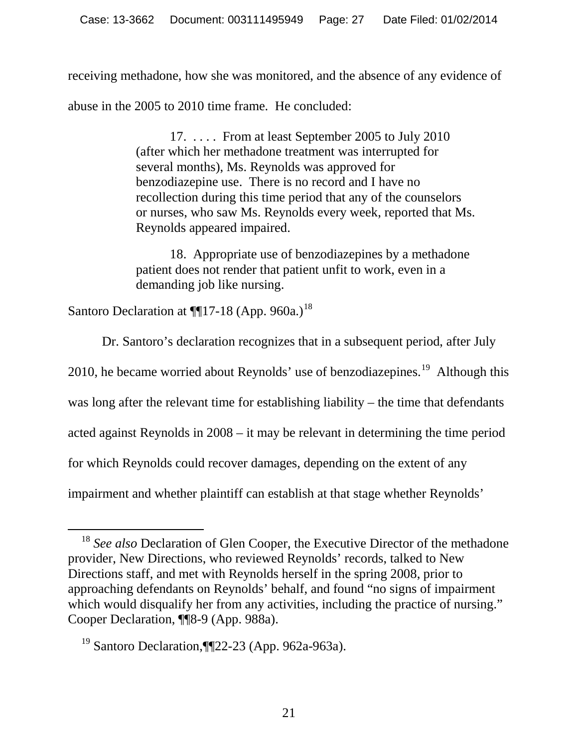receiving methadone, how she was monitored, and the absence of any evidence of abuse in the 2005 to 2010 time frame. He concluded:

> 17. . . . . From at least September 2005 to July 2010 (after which her methadone treatment was interrupted for several months), Ms. Reynolds was approved for benzodiazepine use. There is no record and I have no recollection during this time period that any of the counselors or nurses, who saw Ms. Reynolds every week, reported that Ms. Reynolds appeared impaired.

18. Appropriate use of benzodiazepines by a methadone patient does not render that patient unfit to work, even in a demanding job like nursing.

Santoro Declaration at  $\P$ [17-[18](#page-26-0) (App. 960a.)<sup>18</sup>

Dr. Santoro's declaration recognizes that in a subsequent period, after July 2010, he became worried about Reynolds' use of benzodiazepines.<sup>[19](#page-26-1)</sup> Although this was long after the relevant time for establishing liability – the time that defendants acted against Reynolds in 2008 – it may be relevant in determining the time period for which Reynolds could recover damages, depending on the extent of any impairment and whether plaintiff can establish at that stage whether Reynolds'

<span id="page-26-0"></span><sup>&</sup>lt;sup>18</sup> See also Declaration of Glen Cooper, the Executive Director of the methadone provider, New Directions, who reviewed Reynolds' records, talked to New Directions staff, and met with Reynolds herself in the spring 2008, prior to approaching defendants on Reynolds' behalf, and found "no signs of impairment which would disqualify her from any activities, including the practice of nursing." Cooper Declaration, ¶¶8-9 (App. 988a).

<span id="page-26-1"></span><sup>19</sup> Santoro Declaration,¶¶22-23 (App. 962a-963a).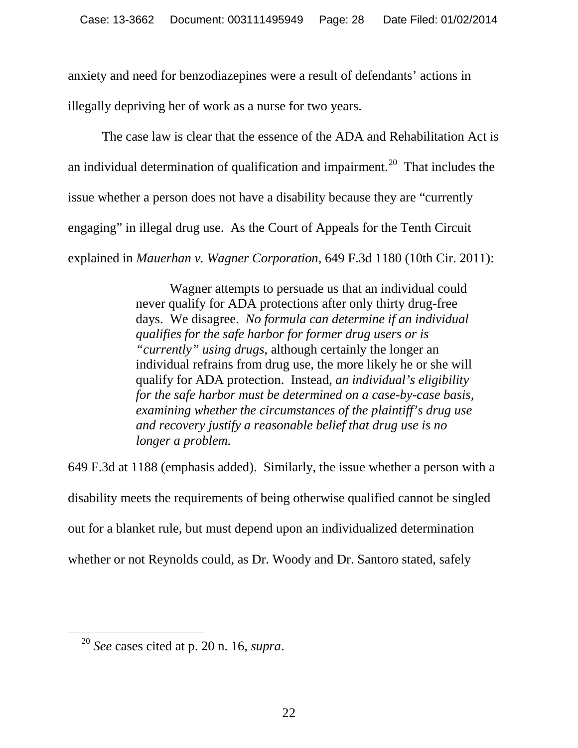anxiety and need for benzodiazepines were a result of defendants' actions in illegally depriving her of work as a nurse for two years.

The case law is clear that the essence of the ADA and Rehabilitation Act is an individual determination of qualification and impairment.<sup>20</sup> That includes the issue whether a person does not have a disability because they are "currently engaging" in illegal drug use. As the Court of Appeals for the Tenth Circuit explained in *Mauerhan v. Wagner Corporation,* 649 F.3d 1180 (10th Cir. 2011):

> Wagner attempts to persuade us that an individual could never qualify for ADA protections after only thirty drug-free days. We disagree. *No formula can determine if an individual qualifies for the safe harbor for former drug users or is "currently" using drugs*, although certainly the longer an individual refrains from drug use, the more likely he or she will qualify for ADA protection. Instead, *an individual's eligibility for the safe harbor must be determined on a case-by-case basis, examining whether the circumstances of the plaintiff's drug use and recovery justify a reasonable belief that drug use is no longer a problem.*

649 F.3d at 1188 (emphasis added). Similarly, the issue whether a person with a disability meets the requirements of being otherwise qualified cannot be singled out for a blanket rule, but must depend upon an individualized determination whether or not Reynolds could, as Dr. Woody and Dr. Santoro stated, safely

<span id="page-27-0"></span> <sup>20</sup> *See* cases cited at p. <sup>20</sup> n. 16, *supra*.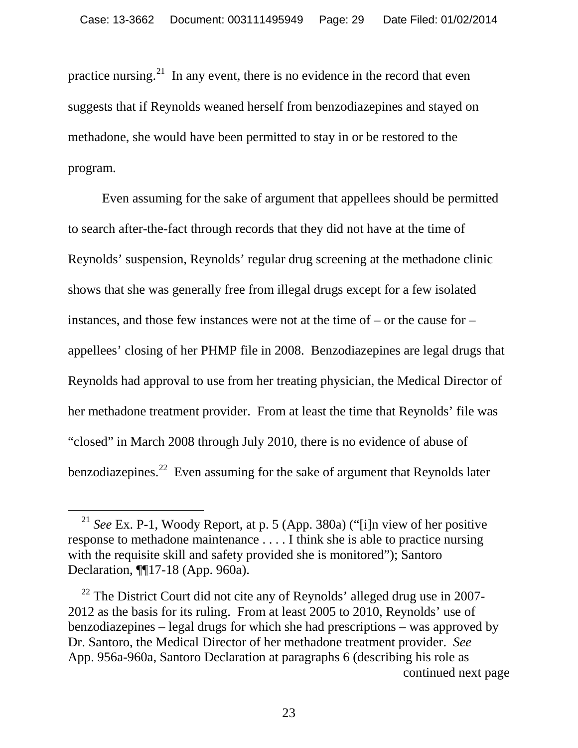practice nursing.<sup>21</sup> In any event, there is no evidence in the record that even suggests that if Reynolds weaned herself from benzodiazepines and stayed on methadone, she would have been permitted to stay in or be restored to the program.

Even assuming for the sake of argument that appellees should be permitted to search after-the-fact through records that they did not have at the time of Reynolds' suspension, Reynolds' regular drug screening at the methadone clinic shows that she was generally free from illegal drugs except for a few isolated instances, and those few instances were not at the time of – or the cause for – appellees' closing of her PHMP file in 2008. Benzodiazepines are legal drugs that Reynolds had approval to use from her treating physician, the Medical Director of her methadone treatment provider. From at least the time that Reynolds' file was "closed" in March 2008 through July 2010, there is no evidence of abuse of benzodiazepines.<sup>22</sup> Even assuming for the sake of argument that Reynolds later

<span id="page-28-0"></span> <sup>21</sup> *See* Ex. P-1, Woody Report, at p. 5 (App. 380a) ("[i]n view of her positive response to methadone maintenance . . . . I think she is able to practice nursing with the requisite skill and safety provided she is monitored"); Santoro Declaration, ¶¶17-18 (App. 960a).

<span id="page-28-1"></span> $22$  The District Court did not cite any of Reynolds' alleged drug use in 2007-2012 as the basis for its ruling. From at least 2005 to 2010, Reynolds' use of benzodiazepines – legal drugs for which she had prescriptions – was approved by Dr. Santoro, the Medical Director of her methadone treatment provider. *See*  App. 956a-960a, Santoro Declaration at paragraphs 6 (describing his role as continued next page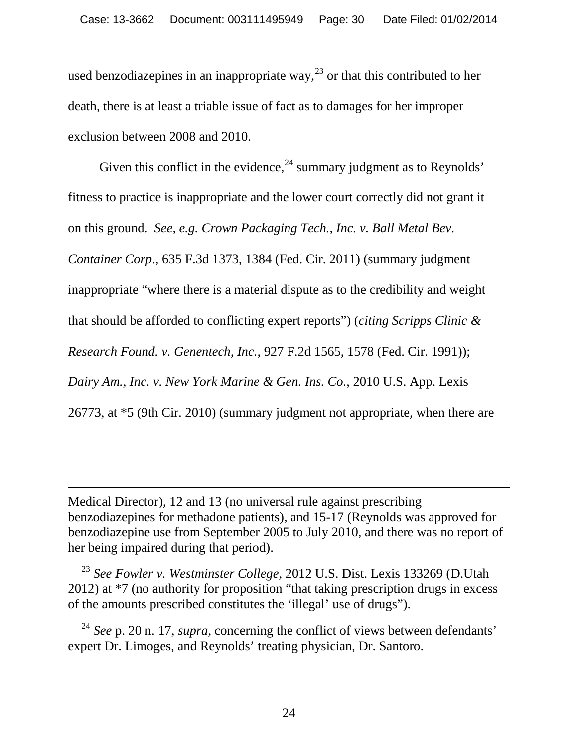used benzodiazepines in an inappropriate way,  $^{23}$  $^{23}$  $^{23}$  or that this contributed to her death, there is at least a triable issue of fact as to damages for her improper exclusion between 2008 and 2010.

Given this conflict in the evidence,  $^{24}$  $^{24}$  $^{24}$  summary judgment as to Reynolds' fitness to practice is inappropriate and the lower court correctly did not grant it on this ground. *See, e.g. Crown Packaging Tech., Inc. v. Ball Metal Bev. Container Corp*., 635 F.3d 1373, 1384 (Fed. Cir. 2011) (summary judgment inappropriate "where there is a material dispute as to the credibility and weight that should be afforded to conflicting expert reports") (*citing Scripps Clinic & Research Found. v. Genentech, Inc.*, 927 F.2d 1565, 1578 (Fed. Cir. 1991)); *Dairy Am., Inc. v. New York Marine & Gen. Ins. Co.*, 2010 U.S. App. Lexis 26773, at \*5 (9th Cir. 2010) (summary judgment not appropriate, when there are

Medical Director), 12 and 13 (no universal rule against prescribing benzodiazepines for methadone patients), and 15-17 (Reynolds was approved for benzodiazepine use from September 2005 to July 2010, and there was no report of her being impaired during that period).

 $\overline{a}$ 

<span id="page-29-0"></span><sup>23</sup> *See Fowler v. Westminster College,* 2012 U.S. Dist. Lexis 133269 (D.Utah 2012) at \*7 (no authority for proposition "that taking prescription drugs in excess of the amounts prescribed constitutes the 'illegal' use of drugs").

<span id="page-29-1"></span><sup>24</sup> *See* p. 20 n. 17, *supra,* concerning the conflict of views between defendants' expert Dr. Limoges, and Reynolds' treating physician, Dr. Santoro.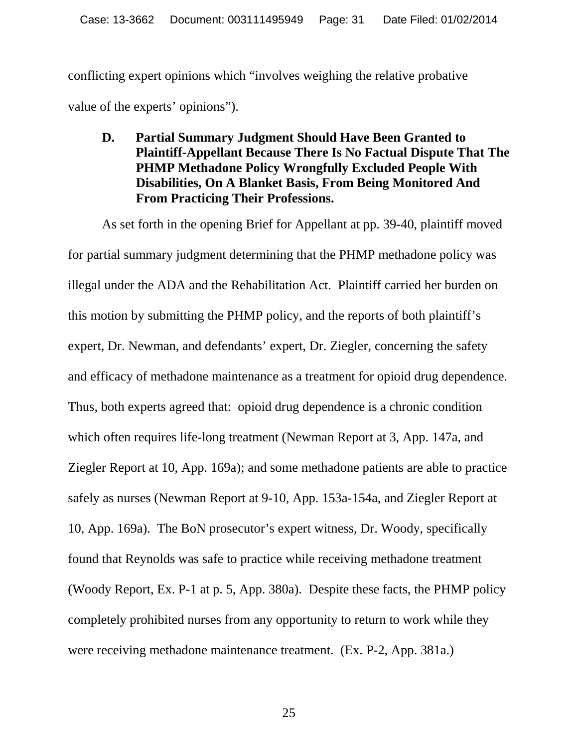conflicting expert opinions which "involves weighing the relative probative value of the experts' opinions").

**D. Partial Summary Judgment Should Have Been Granted to Plaintiff-Appellant Because There Is No Factual Dispute That The PHMP Methadone Policy Wrongfully Excluded People With Disabilities, On A Blanket Basis, From Being Monitored And From Practicing Their Professions.**

As set forth in the opening Brief for Appellant at pp. 39-40, plaintiff moved for partial summary judgment determining that the PHMP methadone policy was illegal under the ADA and the Rehabilitation Act. Plaintiff carried her burden on this motion by submitting the PHMP policy, and the reports of both plaintiff's expert, Dr. Newman, and defendants' expert, Dr. Ziegler, concerning the safety and efficacy of methadone maintenance as a treatment for opioid drug dependence. Thus, both experts agreed that: opioid drug dependence is a chronic condition which often requires life-long treatment (Newman Report at 3, App. 147a, and Ziegler Report at 10, App. 169a); and some methadone patients are able to practice safely as nurses (Newman Report at 9-10, App. 153a-154a, and Ziegler Report at 10, App. 169a). The BoN prosecutor's expert witness, Dr. Woody, specifically found that Reynolds was safe to practice while receiving methadone treatment (Woody Report, Ex. P-1 at p. 5, App. 380a). Despite these facts, the PHMP policy completely prohibited nurses from any opportunity to return to work while they were receiving methadone maintenance treatment. (Ex. P-2, App. 381a.)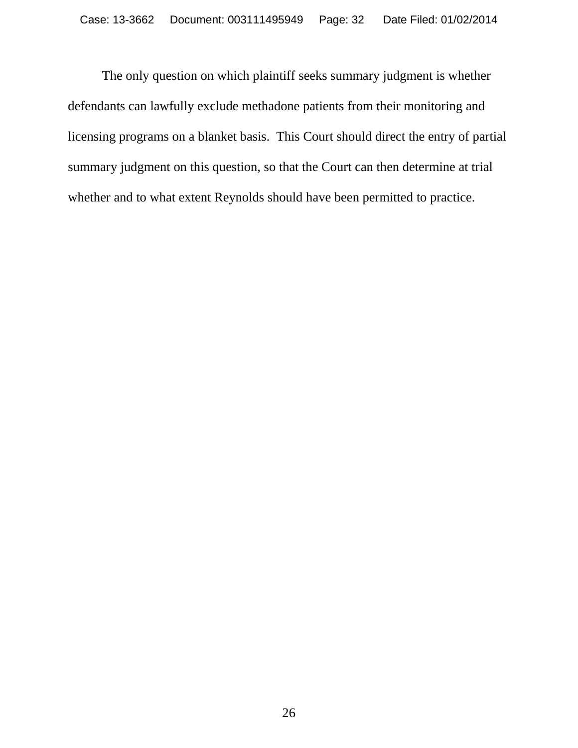The only question on which plaintiff seeks summary judgment is whether defendants can lawfully exclude methadone patients from their monitoring and licensing programs on a blanket basis. This Court should direct the entry of partial summary judgment on this question, so that the Court can then determine at trial whether and to what extent Reynolds should have been permitted to practice.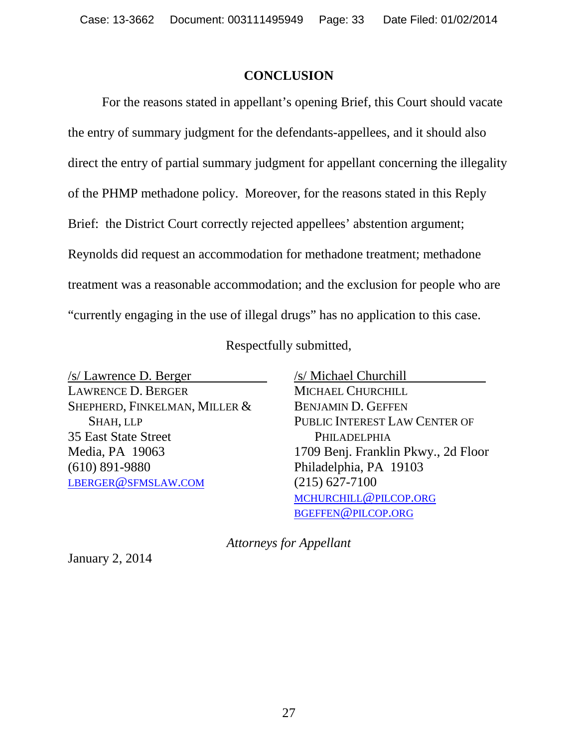#### **CONCLUSION**

For the reasons stated in appellant's opening Brief, this Court should vacate the entry of summary judgment for the defendants-appellees, and it should also direct the entry of partial summary judgment for appellant concerning the illegality of the PHMP methadone policy. Moreover, for the reasons stated in this Reply Brief: the District Court correctly rejected appellees' abstention argument; Reynolds did request an accommodation for methadone treatment; methadone treatment was a reasonable accommodation; and the exclusion for people who are "currently engaging in the use of illegal drugs" has no application to this case.

Respectfully submitted,

/s/ Lawrence D. Berger LAWRENCE D. BERGER SHEPHERD, FINKELMAN, MILLER & SHAH, LLP 35 East State Street Media, PA 19063 (610) 891-9880 [LBERGER@SFMSLAW.COM](mailto:lberger@sfmslaw.com)

/s/ Michael Churchill MICHAEL CHURCHILL BENJAMIN D. GEFFEN PUBLIC INTEREST LAW CENTER OF PHILADELPHIA 1709 Benj. Franklin Pkwy., 2d Floor Philadelphia, PA 19103 (215) 627-7100 [MCHURCHILL@PILCOP.ORG](mailto:mchurchill@pilcop.org) [BGEFFEN@PILCOP.ORG](mailto:bgeffen@pilcop.org)

*Attorneys for Appellant*

January 2, 2014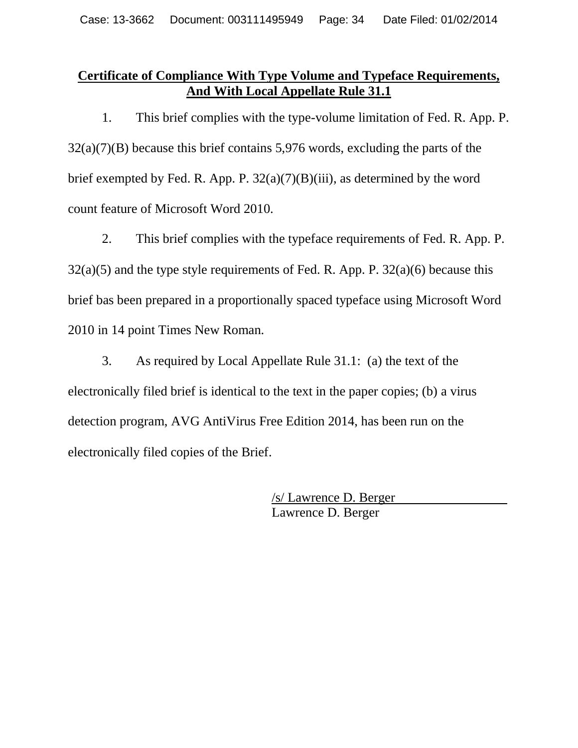# **Certificate of Compliance With Type Volume and Typeface Requirements, And With Local Appellate Rule 31.1**

1. This brief complies with the type-volume limitation of Fed. R. App. P. 32(a)(7)(B) because this brief contains 5,976 words, excluding the parts of the brief exempted by Fed. R. App. P.  $32(a)(7)(B)(iii)$ , as determined by the word count feature of Microsoft Word 2010.

2. This brief complies with the typeface requirements of Fed. R. App. P.  $32(a)(5)$  and the type style requirements of Fed. R. App. P.  $32(a)(6)$  because this brief bas been prepared in a proportionally spaced typeface using Microsoft Word 2010 in 14 point Times New Roman.

3. As required by Local Appellate Rule 31.1: (a) the text of the electronically filed brief is identical to the text in the paper copies; (b) a virus detection program, AVG AntiVirus Free Edition 2014, has been run on the electronically filed copies of the Brief.

> /s/ Lawrence D. Berger Lawrence D. Berger